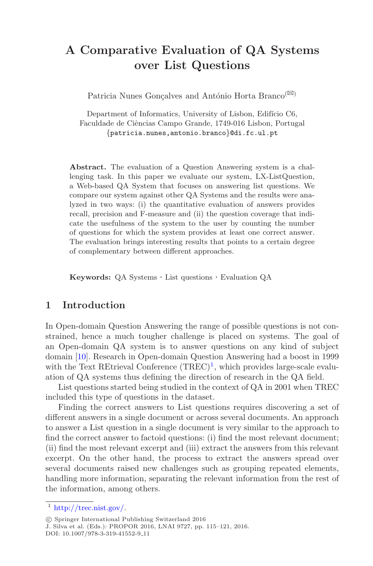# **A Comparative Evaluation of QA Systems over List Questions**

Patricia Nunes Gonçalves and António Horta Branco<sup>( $\boxtimes$ )</sup>

Department of Informatics, University of Lisbon, Edifício C6, Faculdade de Ciências Campo Grande, 1749-016 Lisbon, Portugal {patricia.nunes,antonio.branco}@di.fc.ul.pt

**Abstract.** The evaluation of a Question Answering system is a challenging task. In this paper we evaluate our system, LX-ListQuestion, a Web-based QA System that focuses on answering list questions. We compare our system against other QA Systems and the results were analyzed in two ways: (i) the quantitative evaluation of answers provides recall, precision and F-measure and (ii) the question coverage that indicate the usefulness of the system to the user by counting the number of questions for which the system provides at least one correct answer. The evaluation brings interesting results that points to a certain degree of complementary between different approaches.

**Keywords:** QA Systems · List questions · Evaluation QA

### **1 Introduction**

In Open-domain Question Answering the range of possible questions is not constrained, hence a much tougher challenge is placed on systems. The goal of an Open-domain QA system is to answer questions on any kind of subject domain [10]. Research in Open-domain Question Answering had a boost in 1999 with the Text REtrieval Conference  $(TREC)^1$ , which provides large-scale evaluation of QA systems thus defining the direction of research in the QA field.

List questions started being studied in the context of QA in 2001 when TREC included this type of questions in the dataset.

Finding the correct answers to List questions requires discovering a set of different answers in a single document or across several documents. An approach to answer a List question in a single document is very similar to the approach to find the correct answer to factoid questions: (i) find the most relevant document; (ii) find the most relevant excerpt and (iii) extract the answers from this relevant excerpt. On the other hand, the process to extract the answers spread over several documents raised new challenges such as grouping repeated elements, handling more information, separating the relevant information from the rest of the information, among others.

 $\frac{1}{1}$  http://trec.nist.gov/.

<sup>-</sup>c Springer International Publishing Switzerland 2016

J. Silva et al. (Eds.): PROPOR 2016, LNAI 9727, pp. 115–121, 2016. DOI: 10.1007/978-3-319-41552-9 11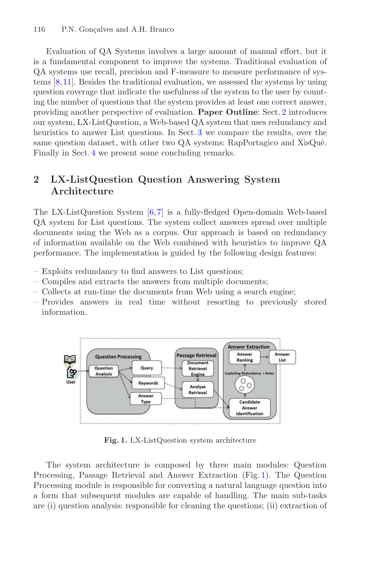Evaluation of QA Systems involves a large amount of manual effort, but it is a fundamental component to improve the systems. Traditional evaluation of QA systems use recall, precision and F-measure to measure performance of systems [8,11]. Besides the traditional evaluation, we assessed the systems by using question coverage that indicate the usefulness of the system to the user by counting the number of questions that the system provides at least one correct answer, providing another perspective of evaluation. **Paper Outline**: Sect. 2 introduces our system, LX-ListQuestion, a Web-based QA system that uses redundancy and heuristics to answer List questions. In Sect. 3 we compare the results, over the same question dataset, with other two QA systems: RapPortagico and XisQuê. Finally in Sect. 4 we present some concluding remarks.

# **2 LX-ListQuestion Question Answering System Architecture**

The LX-ListQuestion System [6,7] is a fully-fledged Open-domain Web-based QA system for List questions. The system collect answers spread over multiple documents using the Web as a corpus. Our approach is based on redundancy of information available on the Web combined with heuristics to improve QA performance. The implementation is guided by the following design features:

- Exploits redundancy to find answers to List questions;
- Compiles and extracts the answers from multiple documents;
- Collects at run-time the documents from Web using a search engine;
- Provides answers in real time without resorting to previously stored information.



**Fig. 1.** LX-ListQuestion system architecture

The system architecture is composed by three main modules: Question Processing, Passage Retrieval and Answer Extraction (Fig. 1). The Question Processing module is responsible for converting a natural language question into a form that subsequent modules are capable of handling. The main sub-tasks are (i) question analysis: responsible for cleaning the questions; (ii) extraction of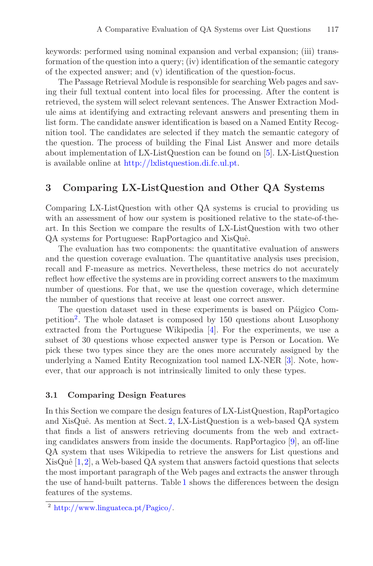keywords: performed using nominal expansion and verbal expansion; (iii) transformation of the question into a query; (iv) identification of the semantic category of the expected answer; and (v) identification of the question-focus.

The Passage Retrieval Module is responsible for searching Web pages and saving their full textual content into local files for processing. After the content is retrieved, the system will select relevant sentences. The Answer Extraction Module aims at identifying and extracting relevant answers and presenting them in list form. The candidate answer identification is based on a Named Entity Recognition tool. The candidates are selected if they match the semantic category of the question. The process of building the Final List Answer and more details about implementation of LX-ListQuestion can be found on [5]. LX-ListQuestion is available online at http://lxlistquestion.di.fc.ul.pt.

### **3 Comparing LX-ListQuestion and Other QA Systems**

Comparing LX-ListQuestion with other QA systems is crucial to providing us with an assessment of how our system is positioned relative to the state-of-theart. In this Section we compare the results of LX-ListQuestion with two other QA systems for Portuguese: RapPortagico and XisQuê.

The evaluation has two components: the quantitative evaluation of answers and the question coverage evaluation. The quantitative analysis uses precision, recall and F-measure as metrics. Nevertheless, these metrics do not accurately reflect how effective the systems are in providing correct answers to the maximum number of questions. For that, we use the question coverage, which determine the number of questions that receive at least one correct answer.

The question dataset used in these experiments is based on Páigico Competition<sup>2</sup>. The whole dataset is composed by 150 questions about Lusophony extracted from the Portuguese Wikipedia [4]. For the experiments, we use a subset of 30 questions whose expected answer type is Person or Location. We pick these two types since they are the ones more accurately assigned by the underlying a Named Entity Recognization tool named LX-NER [3]. Note, however, that our approach is not intrinsically limited to only these types.

#### **3.1 Comparing Design Features**

In this Section we compare the design features of LX-ListQuestion, RapPortagico and XisQuê. As mention at Sect. 2, LX-ListQuestion is a web-based  $QA$  system that finds a list of answers retrieving documents from the web and extracting candidates answers from inside the documents. RapPortagico [9], an off-line QA system that uses Wikipedia to retrieve the answers for List questions and  $XisQuê [1,2],$  a Web-based QA system that answers factoid questions that selects the most important paragraph of the Web pages and extracts the answer through the use of hand-built patterns. Table 1 shows the differences between the design features of the systems.

<sup>2</sup> http://www.linguateca.pt/Pagico/.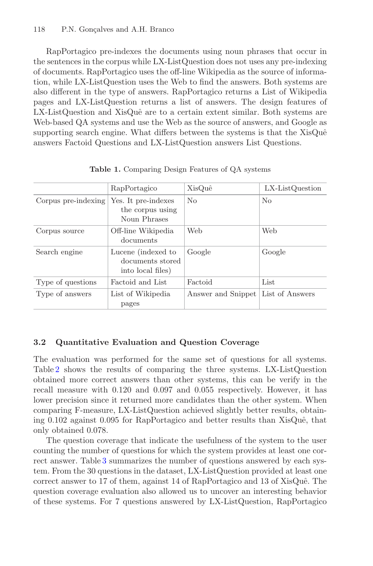RapPortagico pre-indexes the documents using noun phrases that occur in the sentences in the corpus while LX-ListQuestion does not uses any pre-indexing of documents. RapPortagico uses the off-line Wikipedia as the source of information, while LX-ListQuestion uses the Web to find the answers. Both systems are also different in the type of answers. RapPortagico returns a List of Wikipedia pages and LX-ListQuestion returns a list of answers. The design features of  $LX-ListQuestion$  and  $XiQ\hat{u}\hat{e}$  are to a certain extent similar. Both systems are Web-based QA systems and use the Web as the source of answers, and Google as supporting search engine. What differs between the systems is that the XisQuê answers Factoid Questions and LX-ListQuestion answers List Questions.

|                     | RapPortagico                                                | XisQuê                             | LX-ListQuestion |
|---------------------|-------------------------------------------------------------|------------------------------------|-----------------|
| Corpus pre-indexing | Yes. It pre-indexes<br>the corpus using<br>Noun Phrases     | N <sub>0</sub>                     | N <sub>0</sub>  |
| Corpus source       | Off-line Wikipedia<br>documents                             | Web                                | Web             |
| Search engine       | Lucene (indexed to<br>documents stored<br>into local files) | Google                             | Google          |
| Type of questions   | Factoid and List                                            | Factoid                            | List            |
| Type of answers     | List of Wikipedia<br>pages                                  | Answer and Snippet List of Answers |                 |

**Table 1.** Comparing Design Features of QA systems

### **3.2 Quantitative Evaluation and Question Coverage**

The evaluation was performed for the same set of questions for all systems. Table 2 shows the results of comparing the three systems. LX-ListQuestion obtained more correct answers than other systems, this can be verify in the recall measure with 0.120 and 0.097 and 0.055 respectively. However, it has lower precision since it returned more candidates than the other system. When comparing F-measure, LX-ListQuestion achieved slightly better results, obtaining  $0.102$  against  $0.095$  for RapPortagico and better results than XisQuê, that only obtained 0.078.

The question coverage that indicate the usefulness of the system to the user counting the number of questions for which the system provides at least one correct answer. Table 3 summarizes the number of questions answered by each system. From the 30 questions in the dataset, LX-ListQuestion provided at least one correct answer to 17 of them, against 14 of RapPortagico and 13 of  $XisQuê$ . The question coverage evaluation also allowed us to uncover an interesting behavior of these systems. For 7 questions answered by LX-ListQuestion, RapPortagico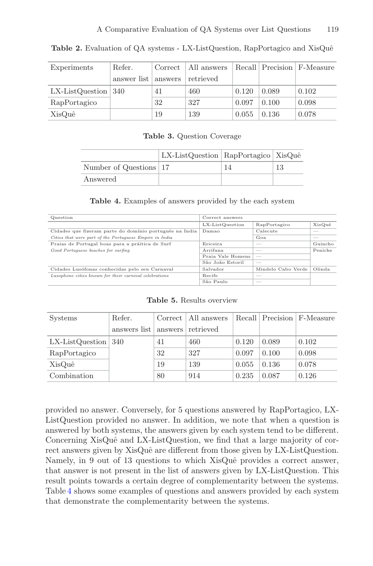| Experiments       | Refer.              | Correct | All answers |       |       | Recall   Precision   F-Measure |
|-------------------|---------------------|---------|-------------|-------|-------|--------------------------------|
|                   | answer list answers |         | retrieved   |       |       |                                |
| $LX-ListQuestion$ | 340                 | 41      | 460         | 0.120 | 0.089 | 0.102                          |
| RapPortagico      |                     | 32      | 327         | 0.097 | 0.100 | 0.098                          |
| XisQuê            |                     | 19      | 139         | 0.055 | 0.136 | 0.078                          |

**Table 2.** Evaluation of QA systems - LX-ListQuestion, RapPortagico and XisQuê

#### **Table 3.** Question Coverage

|                        | LX-ListQuestion   RapPortagico   XisQuê |  |
|------------------------|-----------------------------------------|--|
| Number of Questions 17 |                                         |  |
| Answered               |                                         |  |

#### **Table 4.** Examples of answers provided by the each system

| Question                                                | Correct answers   |                          |         |  |
|---------------------------------------------------------|-------------------|--------------------------|---------|--|
|                                                         | LX-ListQuestion   | RapPortagico             | XisQuê  |  |
| Cidades que fizeram parte do domínio português na India | Damao             | Calecute                 | __      |  |
| Cities that were part of the Portuguese Empire in India |                   | Goa                      | __      |  |
| Praias de Portugal boas para a práitica de Surf         | Ericeira          | __                       | Guincho |  |
| Good Portuguese beaches for surfing                     | Arrifana          | __                       | Peniche |  |
|                                                         | Praia Vale Homens | $\overline{\phantom{a}}$ |         |  |
|                                                         | São João Estoril  | __                       |         |  |
| Cidades Lusófonas conhecidas pelo seu Carnaval          | Salvador          | Mindelo Cabo Verde       | Olinda. |  |
| Lusophone cities known for their carnival celebrations  | Recife            | __                       |         |  |
|                                                         | São Paulo         | __                       |         |  |

#### **Table 5.** Results overview

| <b>Systems</b>    | Refer.               | Correct | All answers |       |       | Recall   Precision   F-Measure |
|-------------------|----------------------|---------|-------------|-------|-------|--------------------------------|
|                   | answers list answers |         | retrieved   |       |       |                                |
| $LX-ListQuestion$ | 340                  | 41      | 460         | 0.120 | 0.089 | 0.102                          |
| RapPortagico      |                      | 32      | 327         | 0.097 | 0.100 | 0.098                          |
| XisQuê            |                      | 19      | 139         | 0.055 | 0.136 | 0.078                          |
| Combination       |                      | 80      | 914         | 0.235 | 0.087 | 0.126                          |

provided no answer. Conversely, for 5 questions answered by RapPortagico, LX-ListQuestion provided no answer. In addition, we note that when a question is answered by both systems, the answers given by each system tend to be different. Concerning  $Xi@uê$  and  $LX-ListQuestion$ , we find that a large majority of correct answers given by XisQuê are different from those given by LX-ListQuestion. Namely, in 9 out of 13 questions to which XisQuê provides a correct answer, that answer is not present in the list of answers given by LX-ListQuestion. This result points towards a certain degree of complementarity between the systems. Table 4 shows some examples of questions and answers provided by each system that demonstrate the complementarity between the systems.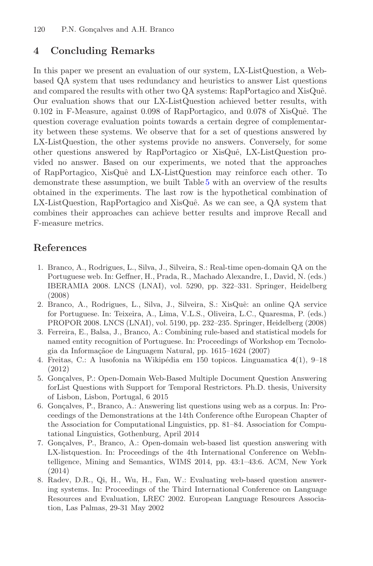# **4 Concluding Remarks**

In this paper we present an evaluation of our system, LX-ListQuestion, a Webbased QA system that uses redundancy and heuristics to answer List questions and compared the results with other two  $\overline{OA}$  systems: RapPortagico and XisQuê. Our evaluation shows that our LX-ListQuestion achieved better results, with  $0.102$  in F-Measure, against  $0.098$  of RapPortagico, and  $0.078$  of XisQuê. The question coverage evaluation points towards a certain degree of complementarity between these systems. We observe that for a set of questions answered by LX-ListQuestion, the other systems provide no answers. Conversely, for some other questions answered by RapPortagico or XisQuê, LX-ListQuestion provided no answer. Based on our experiments, we noted that the approaches of RapPortagico, XisQuê and LX-ListQuestion may reinforce each other. To demonstrate these assumption, we built Table 5 with an overview of the results obtained in the experiments. The last row is the hypothetical combination of  $LX-ListQuestion$ , RapPortagico and XisQuê. As we can see, a QA system that combines their approaches can achieve better results and improve Recall and F-measure metrics.

## **References**

- 1. Branco, A., Rodrigues, L., Silva, J., Silveira, S.: Real-time open-domain QA on the Portuguese web. In: Geffner, H., Prada, R., Machado Alexandre, I., David, N. (eds.) IBERAMIA 2008. LNCS (LNAI), vol. 5290, pp. 322–331. Springer, Heidelberg (2008)
- 2. Branco, A., Rodrigues, L., Silva, J., Silveira, S.: XisQuê: an online QA service for Portuguese. In: Teixeira, A., Lima, V.L.S., Oliveira, L.C., Quaresma, P. (eds.) PROPOR 2008. LNCS (LNAI), vol. 5190, pp. 232–235. Springer, Heidelberg (2008)
- 3. Ferreira, E., Balsa, J., Branco, A.: Combining rule-based and statistical models for named entity recognition of Portuguese. In: Proceedings of Workshop em Tecnologia da Informaçãoe de Linguagem Natural, pp. 1615–1624 (2007)
- 4. Freitas, C.: A lusofonia na Wikip´edia em 150 topicos. Linguamatica **4**(1), 9–18 (2012)
- 5. Gonçalves, P.: Open-Domain Web-Based Multiple Document Question Answering forList Questions with Support for Temporal Restrictors. Ph.D. thesis, University of Lisbon, Lisbon, Portugal, 6 2015
- 6. Gonçalves, P., Branco, A.: Answering list questions using web as a corpus. In: Proceedings of the Demonstrations at the 14th Conference ofthe European Chapter of the Association for Computational Linguistics, pp. 81–84. Association for Computational Linguistics, Gothenburg, April 2014
- 7. Gonçalves, P., Branco, A.: Open-domain web-based list question answering with LX-listquestion. In: Proceedings of the 4th International Conference on WebIntelligence, Mining and Semantics, WIMS 2014, pp. 43:1–43:6. ACM, New York (2014)
- 8. Radev, D.R., Qi, H., Wu, H., Fan, W.: Evaluating web-based question answering systems. In: Proceedings of the Third International Conference on Language Resources and Evaluation, LREC 2002. European Language Resources Association, Las Palmas, 29-31 May 2002